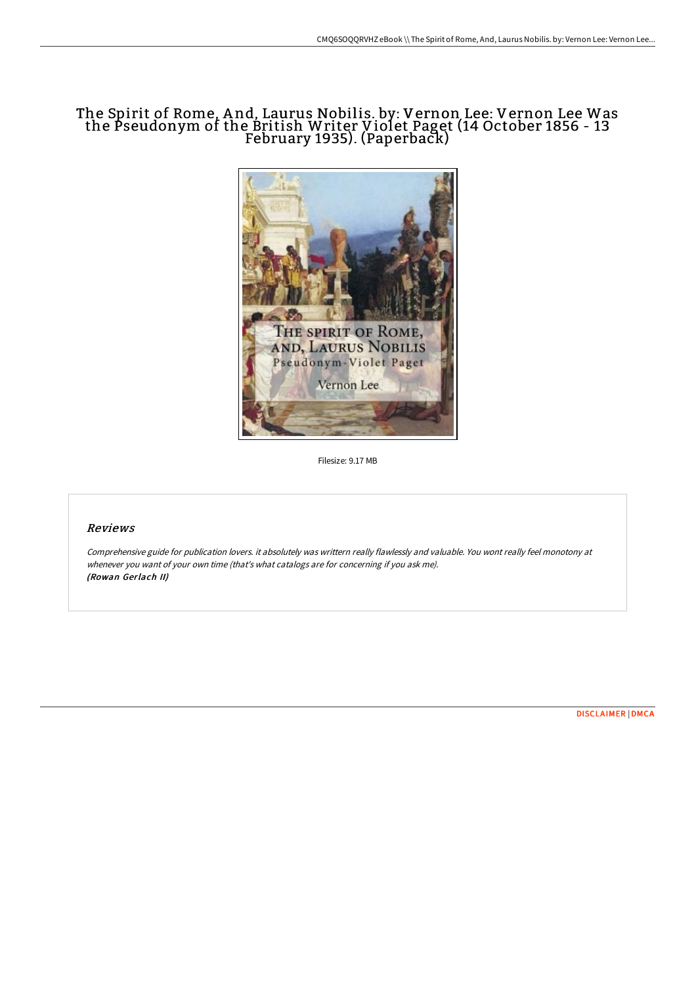# The Spirit of Rome, And, Laurus Nobilis. by: Vernon Lee: Vernon Lee Was the Pseudonym of the British Writer Violet Paget (14 October 1856 - 13 February 1935). (Paperback)



Filesize: 9.17 MB

### Reviews

Comprehensive guide for publication lovers. it absolutely was writtern really flawlessly and valuable. You wont really feel monotony at whenever you want of your own time (that's what catalogs are for concerning if you ask me). (Rowan Gerlach II)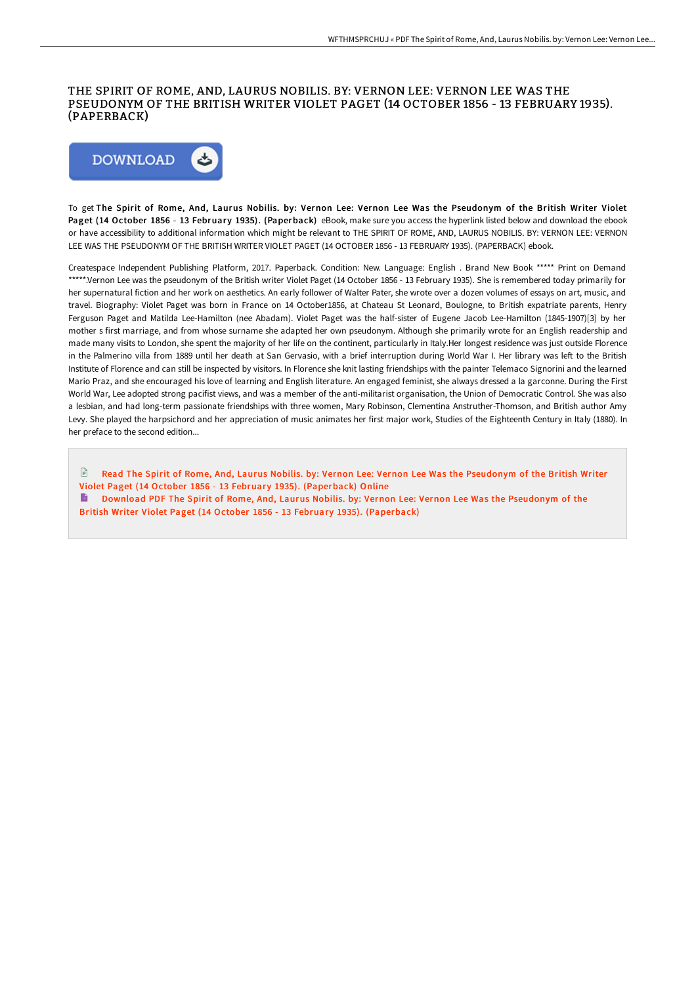#### THE SPIRIT OF ROME, AND, LAURUS NOBILIS. BY: VERNON LEE: VERNON LEE WAS THE PSEUDONYM OF THE BRITISH WRITER VIOLET PAGET (14 OCTOBER 1856 - 13 FEBRUARY 1935). (PAPERBACK)



To get The Spirit of Rome, And, Laurus Nobilis. by: Vernon Lee: Vernon Lee Was the Pseudonym of the British Writer Violet Paget (14 October 1856 - 13 February 1935). (Paperback) eBook, make sure you access the hyperlink listed below and download the ebook or have accessibility to additional information which might be relevant to THE SPIRIT OF ROME, AND, LAURUS NOBILIS. BY: VERNON LEE: VERNON LEE WAS THE PSEUDONYM OF THE BRITISH WRITER VIOLET PAGET (14 OCTOBER 1856 - 13 FEBRUARY 1935). (PAPERBACK) ebook.

Createspace Independent Publishing Platform, 2017. Paperback. Condition: New. Language: English . Brand New Book \*\*\*\*\* Print on Demand \*\*\*\*\*.Vernon Lee was the pseudonym of the British writer Violet Paget (14 October 1856 - 13 February 1935). She is remembered today primarily for her supernatural fiction and her work on aesthetics. An early follower of Walter Pater, she wrote over a dozen volumes of essays on art, music, and travel. Biography: Violet Paget was born in France on 14 October1856, at Chateau St Leonard, Boulogne, to British expatriate parents, Henry Ferguson Paget and Matilda Lee-Hamilton (nee Abadam). Violet Paget was the half-sister of Eugene Jacob Lee-Hamilton (1845-1907)[3] by her mother s first marriage, and from whose surname she adapted her own pseudonym. Although she primarily wrote for an English readership and made many visits to London, she spent the majority of her life on the continent, particularly in Italy.Her longest residence was just outside Florence in the Palmerino villa from 1889 until her death at San Gervasio, with a brief interruption during World War I. Her library was left to the British Institute of Florence and can still be inspected by visitors. In Florence she knit lasting friendships with the painter Telemaco Signorini and the learned Mario Praz, and she encouraged his love of learning and English literature. An engaged feminist, she always dressed a la garconne. During the First World War, Lee adopted strong pacifist views, and was a member of the anti-militarist organisation, the Union of Democratic Control. She was also a lesbian, and had long-term passionate friendships with three women, Mary Robinson, Clementina Anstruther-Thomson, and British author Amy Levy. She played the harpsichord and her appreciation of music animates her first major work, Studies of the Eighteenth Century in Italy (1880). In her preface to the second edition...

 $\mathbb{R}$ Read The Spirit of Rome, And, Laurus Nobilis. by: Vernon Lee: Vernon Lee Was the Pseudonym of the British Writer Violet Paget (14 October 1856 - 13 February 1935). [\(Paperback\)](http://techno-pub.tech/the-spirit-of-rome-and-laurus-nobilis-by-vernon-.html) Online

Download PDF The Spirit of Rome, And, Laurus Nobilis. by: Vernon Lee: Vernon Lee Was the Pseudonym of the British Writer Violet Paget (14 October 1856 - 13 February 1935). [\(Paperback\)](http://techno-pub.tech/the-spirit-of-rome-and-laurus-nobilis-by-vernon-.html)